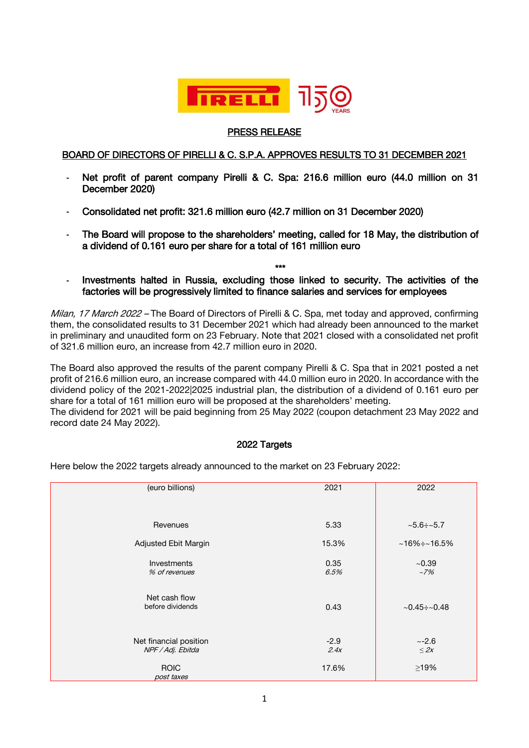

## PRESS RELEASE

## BOARD OF DIRECTORS OF PIRELLI & C. S.P.A. APPROVES RESULTS TO 31 DECEMBER 2021

- **-** Net profit of parent company Pirelli & C. Spa: 216.6 million euro (44.0 million on 31 December 2020)
- **-** Consolidated net profit: 321.6 million euro (42.7 million on 31 December 2020)
- **-** The Board will propose to the shareholders' meeting, called for 18 May, the distribution of a dividend of 0.161 euro per share for a total of 161 million euro
- \*\*\* **-** Investments halted in Russia, excluding those linked to security. The activities of the factories will be progressively limited to finance salaries and services for employees

Milan, 17 March 2022 – The Board of Directors of Pirelli & C. Spa, met today and approved, confirming them, the consolidated results to 31 December 2021 which had already been announced to the market in preliminary and unaudited form on 23 February. Note that 2021 closed with a consolidated net profit of 321.6 million euro, an increase from 42.7 million euro in 2020.

The Board also approved the results of the parent company Pirelli & C. Spa that in 2021 posted a net profit of 216.6 million euro, an increase compared with 44.0 million euro in 2020. In accordance with the dividend policy of the 2021-2022|2025 industrial plan, the distribution of a dividend of 0.161 euro per share for a total of 161 million euro will be proposed at the shareholders' meeting.

The dividend for 2021 will be paid beginning from 25 May 2022 (coupon detachment 23 May 2022 and record date 24 May 2022).

#### 2022 Targets

(euro billions) Revenues 2021 5.33 2022  $~5.6 \div 5.7$ Adjusted Ebit Margin 15.3%  $\sim 16.5\%$ Investments % of revenues 0.35 6.5%  $~10.39$  $-70/$ Net cash flow<br>before dividends 0.43  $\sim$  0.45÷~0.48 Net financial position NPF / Adj. Ebitda ROIC post taxes -2.9 2.4x 17.6%  $~2.6$ *≤* 2x ≥19%

Here below the 2022 targets already announced to the market on 23 February 2022: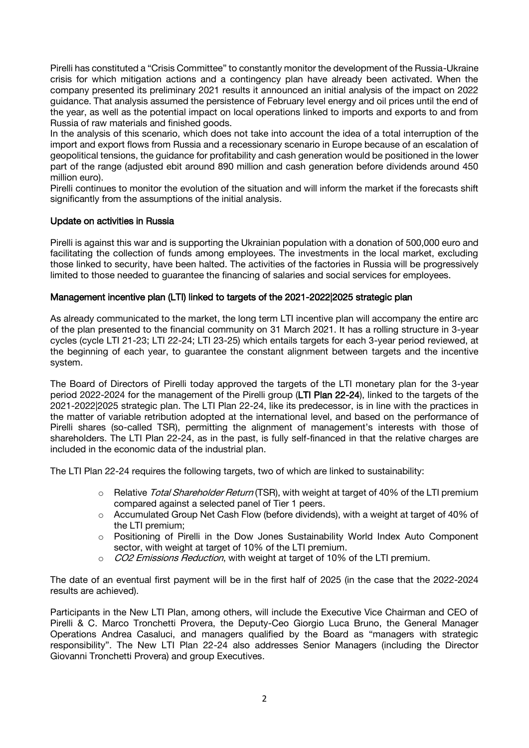Pirelli has constituted a "Crisis Committee" to constantly monitor the development of the Russia-Ukraine crisis for which mitigation actions and a contingency plan have already been activated. When the company presented its preliminary 2021 results it announced an initial analysis of the impact on 2022 guidance. That analysis assumed the persistence of February level energy and oil prices until the end of the year, as well as the potential impact on local operations linked to imports and exports to and from Russia of raw materials and finished goods.

In the analysis of this scenario, which does not take into account the idea of a total interruption of the import and export flows from Russia and a recessionary scenario in Europe because of an escalation of geopolitical tensions, the guidance for profitability and cash generation would be positioned in the lower part of the range (adjusted ebit around 890 million and cash generation before dividends around 450 million euro).

Pirelli continues to monitor the evolution of the situation and will inform the market if the forecasts shift significantly from the assumptions of the initial analysis.

## Update on activities in Russia

Pirelli is against this war and is supporting the Ukrainian population with a donation of 500,000 euro and facilitating the collection of funds among employees. The investments in the local market, excluding those linked to security, have been halted. The activities of the factories in Russia will be progressively limited to those needed to guarantee the financing of salaries and social services for employees.

## Management incentive plan (LTI) linked to targets of the 2021-2022|2025 strategic plan

As already communicated to the market, the long term LTI incentive plan will accompany the entire arc of the plan presented to the financial community on 31 March 2021. It has a rolling structure in 3-year cycles (cycle LTI 21-23; LTI 22-24; LTI 23-25) which entails targets for each 3-year period reviewed, at the beginning of each year, to guarantee the constant alignment between targets and the incentive system.

The Board of Directors of Pirelli today approved the targets of the LTI monetary plan for the 3-year period 2022-2024 for the management of the Pirelli group (LTI Plan 22-24), linked to the targets of the 2021-2022|2025 strategic plan. The LTI Plan 22-24, like its predecessor, is in line with the practices in the matter of variable retribution adopted at the international level, and based on the performance of Pirelli shares (so-called TSR), permitting the alignment of management's interests with those of shareholders. The LTI Plan 22-24, as in the past, is fully self-financed in that the relative charges are included in the economic data of the industrial plan.

The LTI Plan 22-24 requires the following targets, two of which are linked to sustainability:

- o Relative Total Shareholder Return (TSR), with weight at target of 40% of the LTI premium compared against a selected panel of Tier 1 peers.
- o Accumulated Group Net Cash Flow (before dividends), with a weight at target of 40% of the LTI premium;
- o Positioning of Pirelli in the Dow Jones Sustainability World Index Auto Component sector, with weight at target of 10% of the LTI premium.
- $\circ$  *CO2 Emissions Reduction*, with weight at target of 10% of the LTI premium.

The date of an eventual first payment will be in the first half of 2025 (in the case that the 2022-2024 results are achieved).

Participants in the New LTI Plan, among others, will include the Executive Vice Chairman and CEO of Pirelli & C. Marco Tronchetti Provera, the Deputy-Ceo Giorgio Luca Bruno, the General Manager Operations Andrea Casaluci, and managers qualified by the Board as "managers with strategic responsibility". The New LTI Plan 22-24 also addresses Senior Managers (including the Director Giovanni Tronchetti Provera) and group Executives.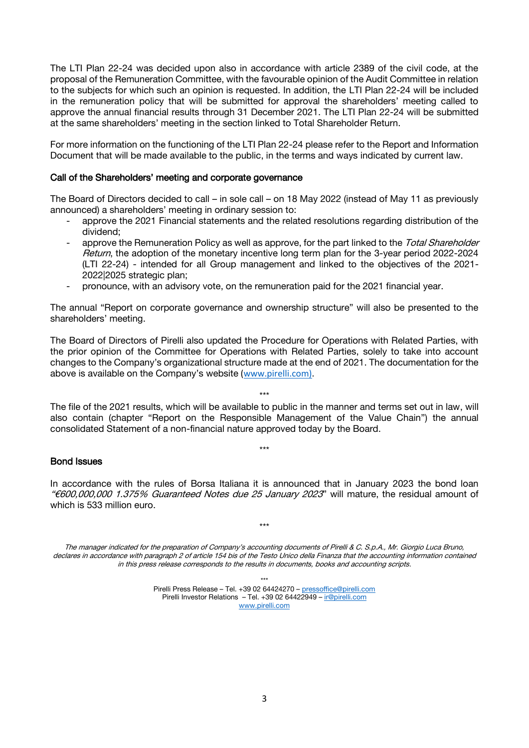The LTI Plan 22-24 was decided upon also in accordance with article 2389 of the civil code, at the proposal of the Remuneration Committee, with the favourable opinion of the Audit Committee in relation to the subjects for which such an opinion is requested. In addition, the LTI Plan 22-24 will be included in the remuneration policy that will be submitted for approval the shareholders' meeting called to approve the annual financial results through 31 December 2021. The LTI Plan 22-24 will be submitted at the same shareholders' meeting in the section linked to Total Shareholder Return.

For more information on the functioning of the LTI Plan 22-24 please refer to the Report and Information Document that will be made available to the public, in the terms and ways indicated by current law.

#### Call of the Shareholders' meeting and corporate governance

The Board of Directors decided to call – in sole call – on 18 May 2022 (instead of May 11 as previously announced) a shareholders' meeting in ordinary session to:

- approve the 2021 Financial statements and the related resolutions regarding distribution of the dividend;
- approve the Remuneration Policy as well as approve, for the part linked to the Total Shareholder Return, the adoption of the monetary incentive long term plan for the 3-year period 2022-2024 (LTI 22-24) - intended for all Group management and linked to the objectives of the 2021- 2022|2025 strategic plan;
- pronounce, with an advisory vote, on the remuneration paid for the 2021 financial year.

The annual "Report on corporate governance and ownership structure" will also be presented to the shareholders' meeting.

The Board of Directors of Pirelli also updated the Procedure for Operations with Related Parties, with the prior opinion of the Committee for Operations with Related Parties, solely to take into account changes to the Company's organizational structure made at the end of 2021. The documentation for the above is available on the Company's website [\(www.pirelli.com\).](http://www.pirelli.com)/)

\*\*\*

The file of the 2021 results, which will be available to public in the manner and terms set out in law, will also contain (chapter "Report on the Responsible Management of the Value Chain") the annual consolidated Statement of a non-financial nature approved today by the Board.

\*\*\*

# Bond Issues

In accordance with the rules of Borsa Italiana it is announced that in January 2023 the bond loan "€600,000,000 1.375% Guaranteed Notes due 25 January 2023" will mature, the residual amount of which is 533 million euro.

\*\*\*

The manager indicated for the preparation of Company's accounting documents of Pirelli & C. S.p.A., Mr. Giorgio Luca Bruno, declares in accordance with paragraph 2 of article 154 bis of the Testo Unico della Finanza that the accounting information contained in this press release corresponds to the results in documents, books and accounting scripts.

> \*\*\* Pirelli Press Release – Tel. +39 02 64424270 – [pressoffice@pirelli.com](mailto:pressoffice@pirelli.com) Pirelli Investor Relations – Tel. +39 02 64422949 – [ir@pirelli.com](mailto:ir@pirelli.com) [www.pirelli.com](http://www.pirelli.com/)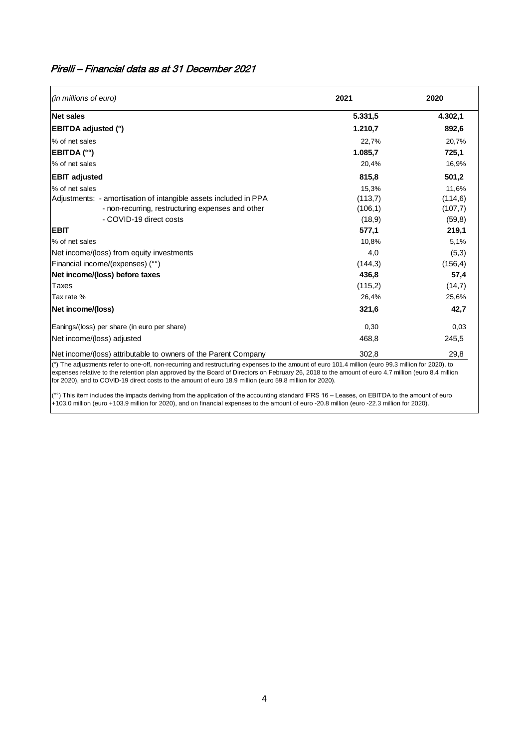| Pirelli – Financial data as at 31 December 2021 |  |  |
|-------------------------------------------------|--|--|
|-------------------------------------------------|--|--|

| (in millions of euro)                                            | 2021     | 2020     |  |
|------------------------------------------------------------------|----------|----------|--|
| <b>Net sales</b>                                                 | 5.331,5  | 4.302,1  |  |
| <b>EBITDA adjusted (°)</b>                                       | 1.210,7  | 892,6    |  |
| % of net sales                                                   | 22,7%    | 20,7%    |  |
| <b>EBITDA</b> (°°)                                               | 1.085.7  | 725,1    |  |
| % of net sales                                                   | 20,4%    | 16,9%    |  |
| <b>EBIT adjusted</b>                                             | 815,8    | 501,2    |  |
| % of net sales                                                   | 15,3%    | 11,6%    |  |
| Adjustments: - amortisation of intangible assets included in PPA | (113,7)  | (114, 6) |  |
| - non-recurring, restructuring expenses and other                | (106, 1) | (107,7)  |  |
| - COVID-19 direct costs                                          | (18, 9)  | (59,8)   |  |
| <b>EBIT</b>                                                      | 577,1    | 219,1    |  |
| % of net sales                                                   | 10,8%    | 5,1%     |  |
| Net income/(loss) from equity investments                        | 4,0      | (5,3)    |  |
| Financial income/(expenses) (°°)                                 | (144,3)  | (156, 4) |  |
| Net income/(loss) before taxes                                   | 436,8    | 57,4     |  |
| Taxes                                                            | (115,2)  | (14,7)   |  |
| Tax rate %                                                       | 26,4%    | 25,6%    |  |
| Net income/(loss)                                                | 321,6    | 42,7     |  |
| Eanings/(loss) per share (in euro per share)                     | 0,30     | 0,03     |  |
| Net income/(loss) adjusted                                       | 468,8    | 245,5    |  |
| Net income/(loss) attributable to owners of the Parent Company   | 302,8    | 29,8     |  |

(°) The adjustments refer to one-off, non-recurring and restructuring expenses to the amount of euro 101.4 million (euro 99.3 million for 2020), to expenses relative to the retention plan approved by the Board of Directors on February 26, 2018 to the amount of euro 4.7 million (euro 8.4 million for 2020), and to COVID-19 direct costs to the amount of euro 18.9 million (euro 59.8 million for 2020).

(°°) This item includes the impacts deriving from the application of the accounting standard IFRS 16 – Leases, on EBITDA to the amount of euro +103.0 million (euro +103.9 million for 2020), and on financial expenses to the amount of euro -20.8 million (euro -22.3 million for 2020).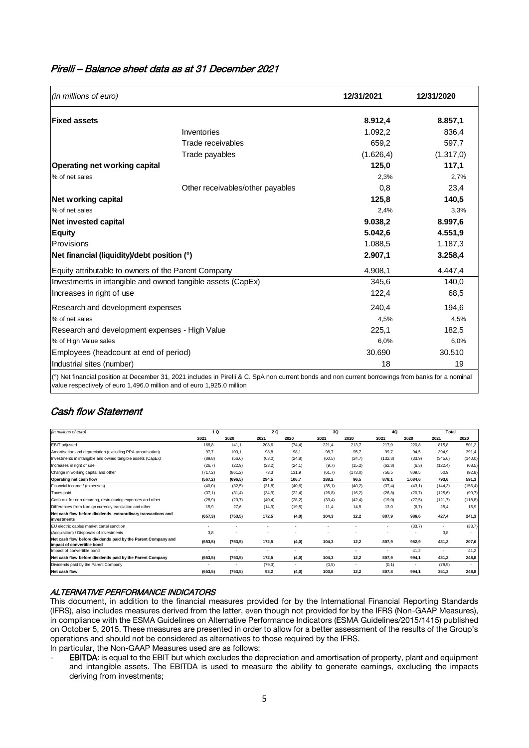# Pirelli – Balance sheet data as at 31 December 2021

| 12/31/2021 | 12/31/2020                                                                                                                                                   |  |
|------------|--------------------------------------------------------------------------------------------------------------------------------------------------------------|--|
| 8.912,4    | 8.857,1                                                                                                                                                      |  |
| 1.092,2    | 836,4                                                                                                                                                        |  |
| 659,2      | 597,7                                                                                                                                                        |  |
| (1.626, 4) | (1.317, 0)                                                                                                                                                   |  |
| 125,0      | 117,1                                                                                                                                                        |  |
| 2,3%       | 2,7%                                                                                                                                                         |  |
| 0,8        | 23,4                                                                                                                                                         |  |
| 125,8      | 140,5                                                                                                                                                        |  |
| 2,4%       | 3,3%                                                                                                                                                         |  |
| 9.038,2    | 8.997,6                                                                                                                                                      |  |
| 5.042,6    | 4.551,9                                                                                                                                                      |  |
| 1.088,5    | 1.187,3                                                                                                                                                      |  |
| 2.907,1    | 3.258,4                                                                                                                                                      |  |
| 4.908,1    | 4.447,4                                                                                                                                                      |  |
| 345,6      | 140,0                                                                                                                                                        |  |
| 122,4      | 68,5                                                                                                                                                         |  |
| 240.4      | 194,6                                                                                                                                                        |  |
| 4,5%       | 4,5%                                                                                                                                                         |  |
| 225,1      | 182,5                                                                                                                                                        |  |
| 6,0%       | 6,0%                                                                                                                                                         |  |
|            | 30.510                                                                                                                                                       |  |
| 18         | 19                                                                                                                                                           |  |
|            | 30.690<br>(°) Net financial position at December 31, 2021 includes in Pirelli & C. SpA non current bonds and non current borrowings from banks for a nominal |  |

Cash flow Statement

| (in millions of euro)                                                                       | 1 Q      |                          |         | 2 Q     | 3Q      | 4Q                       | Total    |         |                          |                          |
|---------------------------------------------------------------------------------------------|----------|--------------------------|---------|---------|---------|--------------------------|----------|---------|--------------------------|--------------------------|
|                                                                                             | 2021     | 2020                     | 2021    | 2020    | 2021    | 2020                     | 2021     | 2020    | 2021                     | 2020                     |
| EBIT adjusted                                                                               | 168.8    | 141.1                    | 208.6   | (74, 4) | 221.4   | 213.7                    | 217.0    | 220.8   | 815.8                    | 501,2                    |
| Amortisation and depreciation (excluding PPA amortisation)                                  | 97.7     | 103.1                    | 98,8    | 98.1    | 98.7    | 95.7                     | 99.7     | 94,5    | 394.9                    | 391,4                    |
| Investments in intangible and owned tangible assets (CapEx)                                 | (89, 8)  | (56, 6)                  | (63, 0) | (24, 8) | (60, 5) | (24,7)                   | (132, 3) | (33, 9) | (345, 6)                 | (140, 0)                 |
| Increases in right of use                                                                   | (26,7)   | (22.9)                   | (23, 2) | (24,1)  | (9,7)   | (15,2)                   | (62, 8)  | (6,3)   | (122, 4)                 | (68, 5)                  |
| Change in working capital and other                                                         | (717, 2) | (861, 2)                 | 73,3    | 131,9   | (61,7)  | (173,0)                  | 756.5    | 809,5   | 50,9                     | (92, 8)                  |
| Operating net cash flow                                                                     | (567, 2) | (696, 5)                 | 294.5   | 106.7   | 188.2   | 96,5                     | 878.1    | 1.084.6 | 793.6                    | 591,3                    |
| Financial income / (expenses)                                                               | (40,0)   | (32,5)                   | (31, 8) | (40,6)  | (35, 1) | (40,2)                   | (37, 4)  | (43,1)  | (144, 3)                 | (156, 4)                 |
| Taxes paid                                                                                  | (37,1)   | (31,4)                   | (34, 9) | (22, 4) | (26, 8) | (16,2)                   | (26, 8)  | (20,7)  | (125, 6)                 | (90,7)                   |
| Cash-out for non-recurring, restructuring expenses and other                                | (28, 9)  | (20,7)                   | (40, 4) | (28,2)  | (33,4)  | (42, 4)                  | (19, 0)  | (27, 5) | (121.7)                  | (118, 8)                 |
| Differences from foreign currency translation and other                                     | 15,9     | 27,6                     | (14, 9) | (19,5)  | 11.4    | 14,5                     | 13.0     | (6,7)   | 25.4                     | 15,9                     |
| Net cash flow before dividends, extraordinary transactions and<br>investments               | (657, 3) | (753, 5)                 | 172,5   | (4, 0)  | 104,3   | 12,2                     | 807,9    | 986.6   | 427.4                    | 241,3                    |
| EU electric cables market cartel sanction                                                   |          | $\overline{\phantom{a}}$ |         |         |         |                          |          | (33,7)  | $\overline{\phantom{a}}$ | (33,7)                   |
| (Acquisition) / Disposals of investments                                                    | 3,8      |                          |         |         |         |                          |          |         | 3.8                      | $\overline{\phantom{a}}$ |
| Net cash flow before dividends paid by the Parent Company and<br>impact of convertible bond | (653, 5) | (753, 5)                 | 172.5   | (4,0)   | 104.3   | 12.2                     | 807.9    | 952.9   | 431.2                    | 207,6                    |
| Impact of convertible bond                                                                  |          | $\overline{\phantom{a}}$ | $\sim$  | ۰.      | ٠       | $\overline{\phantom{0}}$ | $\sim$   | 41.2    | $\overline{\phantom{a}}$ | 41.2                     |
| Net cash flow before dividends paid by the Parent Company                                   | (653, 5) | (753, 5)                 | 172.5   | (4, 0)  | 104.3   | 12,2                     | 807.9    | 994.1   | 431.2                    | 248,8                    |
| Dividends paid by the Parent Company                                                        |          |                          | (79,3)  |         | (0,5)   |                          | (0, 1)   |         | (79, 9)                  | $\sim$                   |
| Net cash flow                                                                               | (653, 5) | (753, 5)                 | 93,2    | (4, 0)  | 103.8   | 12,2                     | 807.8    | 994.1   | 351.3                    | 248,8                    |

#### ALTERNATIVE PERFORMANCE INDICATORS

This document, in addition to the financial measures provided for by the International Financial Reporting Standards (IFRS), also includes measures derived from the latter, even though not provided for by the IFRS (Non-GAAP Measures), in compliance with the ESMA Guidelines on Alternative Performance Indicators (ESMA Guidelines/2015/1415) published on October 5, 2015. These measures are presented in order to allow for a better assessment of the results of the Group's operations and should not be considered as alternatives to those required by the IFRS.

In particular, the Non-GAAP Measures used are as follows:

EBITDA: is equal to the EBIT but which excludes the depreciation and amortisation of property, plant and equipment and intangible assets. The EBITDA is used to measure the ability to generate earnings, excluding the impacts deriving from investments;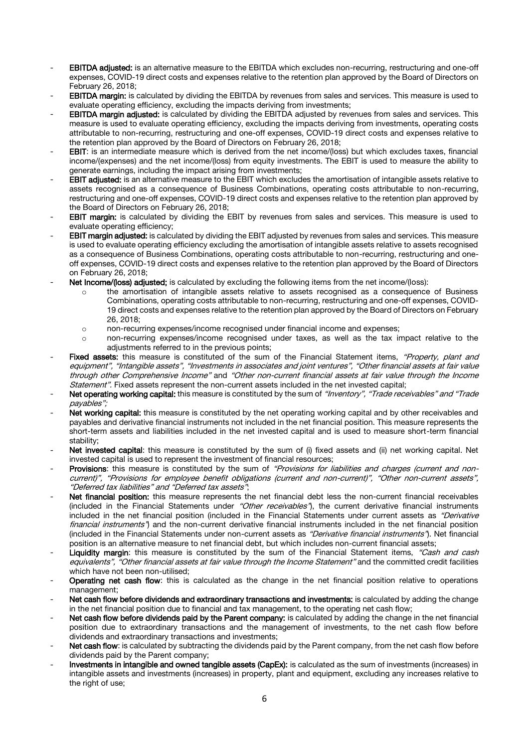- EBITDA adjusted: is an alternative measure to the EBITDA which excludes non-recurring, restructuring and one-off expenses, COVID-19 direct costs and expenses relative to the retention plan approved by the Board of Directors on February 26, 2018;
- EBITDA margin: is calculated by dividing the EBITDA by revenues from sales and services. This measure is used to evaluate operating efficiency, excluding the impacts deriving from investments;
- **EBITDA margin adjusted:** is calculated by dividing the EBITDA adjusted by revenues from sales and services. This measure is used to evaluate operating efficiency, excluding the impacts deriving from investments, operating costs attributable to non-recurring, restructuring and one-off expenses, COVID-19 direct costs and expenses relative to the retention plan approved by the Board of Directors on February 26, 2018;
- EBIT: is an intermediate measure which is derived from the net income/(loss) but which excludes taxes, financial income/(expenses) and the net income/(loss) from equity investments. The EBIT is used to measure the ability to generate earnings, including the impact arising from investments;
- EBIT adjusted: is an alternative measure to the EBIT which excludes the amortisation of intangible assets relative to assets recognised as a consequence of Business Combinations, operating costs attributable to non-recurring, restructuring and one-off expenses, COVID-19 direct costs and expenses relative to the retention plan approved by the Board of Directors on February 26, 2018;
- **EBIT margin:** is calculated by dividing the EBIT by revenues from sales and services. This measure is used to evaluate operating efficiency;
- EBIT margin adjusted: is calculated by dividing the EBIT adjusted by revenues from sales and services. This measure is used to evaluate operating efficiency excluding the amortisation of intangible assets relative to assets recognised as a consequence of Business Combinations, operating costs attributable to non-recurring, restructuring and oneoff expenses, COVID-19 direct costs and expenses relative to the retention plan approved by the Board of Directors on February 26, 2018;
- Net Income/(loss) adjusted; is calculated by excluding the following items from the net income/(loss):
	- o the amortisation of intangible assets relative to assets recognised as a consequence of Business Combinations, operating costs attributable to non-recurring, restructuring and one-off expenses, COVID-19 direct costs and expenses relative to the retention plan approved by the Board of Directors on February 26, 2018;
	- o non-recurring expenses/income recognised under financial income and expenses;
	- o non-recurring expenses/income recognised under taxes, as well as the tax impact relative to the adjustments referred to in the previous points;
- Fixed assets: this measure is constituted of the sum of the Financial Statement items. "Property, plant and equipment", "Intangible assets", "Investments in associates and joint ventures", "Other financial assets at fair value through other Comprehensive Income" and "Other non-current financial assets at fair value through the Income Statement". Fixed assets represent the non-current assets included in the net invested capital;
- Net operating working capital: this measure is constituted by the sum of "Inventory", "Trade receivables" and "Trade payables";
- Net working capital: this measure is constituted by the net operating working capital and by other receivables and payables and derivative financial instruments not included in the net financial position. This measure represents the short-term assets and liabilities included in the net invested capital and is used to measure short-term financial stability;
- Net invested capital: this measure is constituted by the sum of (i) fixed assets and (ii) net working capital. Net invested capital is used to represent the investment of financial resources;
- Provisions: this measure is constituted by the sum of "Provisions for liabilities and charges (current and noncurrent)", "Provisions for employee benefit obligations (current and non-current)", "Other non-current assets", "Deferred tax liabilities" and "Deferred tax assets";
- Net financial position: this measure represents the net financial debt less the non-current financial receivables (included in the Financial Statements under "Other receivables"), the current derivative financial instruments included in the net financial position (included in the Financial Statements under current assets as "Derivative financial instruments") and the non-current derivative financial instruments included in the net financial position (included in the Financial Statements under non-current assets as "Derivative financial instruments"). Net financial position is an alternative measure to net financial debt, but which includes non-current financial assets;
- Liquidity margin: this measure is constituted by the sum of the Financial Statement items, "Cash and cash equivalents", "Other financial assets at fair value through the Income Statement" and the committed credit facilities which have not been non-utilised;
- Operating net cash flow: this is calculated as the change in the net financial position relative to operations management;
- Net cash flow before dividends and extraordinary transactions and investments: is calculated by adding the change in the net financial position due to financial and tax management, to the operating net cash flow;
- Net cash flow before dividends paid by the Parent company: is calculated by adding the change in the net financial position due to extraordinary transactions and the management of investments, to the net cash flow before dividends and extraordinary transactions and investments;
- Net cash flow: is calculated by subtracting the dividends paid by the Parent company, from the net cash flow before dividends paid by the Parent company;
- Investments in intangible and owned tangible assets (CapEx): is calculated as the sum of investments (increases) in intangible assets and investments (increases) in property, plant and equipment, excluding any increases relative to the right of use;